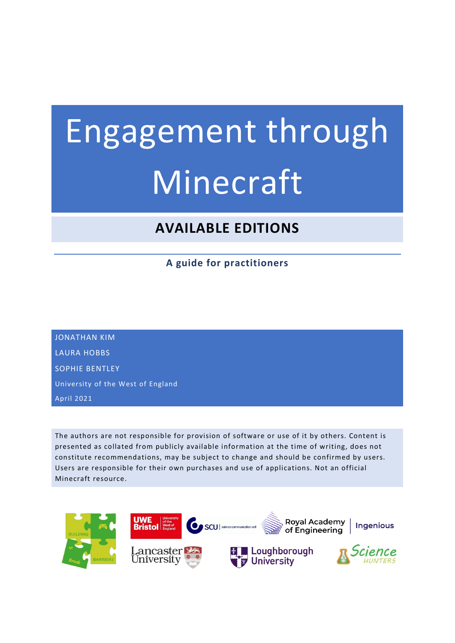# Engagement through **Minecraft**

# **AVAILABLE EDITIONS**

**A guide for practitioners**

JONATHAN KIM LAURA HOBBS SOPHIE BENTLEY University of the West of England April 2021

The authors are not responsible for provision of software or use of it by others. Content is presented as collated from publicly available information at the time of writing, does not constitute recommendations, may be subject to change and should be confirmed by users. Users are responsible for their own purchases and use of applications. Not an official Minecraft resource.

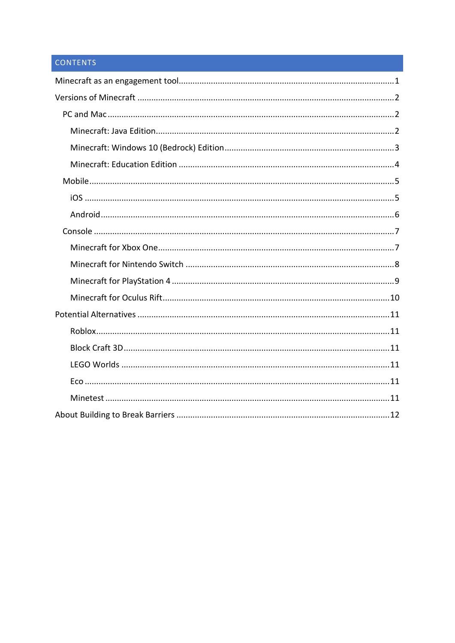# CONTENTS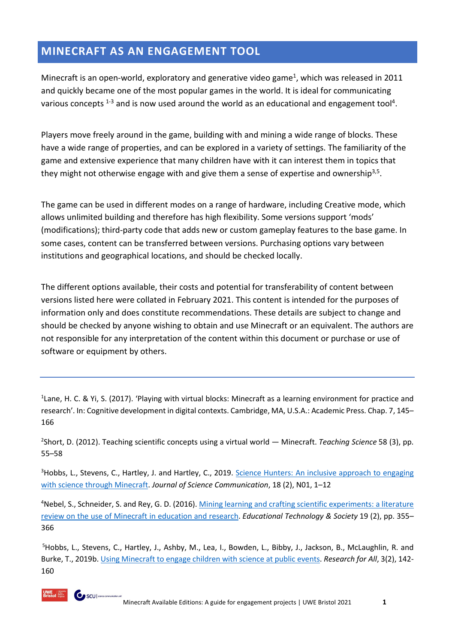# <span id="page-2-0"></span>**MINECRAFT AS AN ENGAGEMENT TOOL**

Minecraft is an open-world, exploratory and generative video game<sup>1</sup>, which was released in 2011 and quickly became one of the most popular games in the world. It is ideal for communicating various concepts  $1-3$  and is now used around the world as an educational and engagement tool<sup>4</sup>.

Players move freely around in the game, building with and mining a wide range of blocks. These have a wide range of properties, and can be explored in a variety of settings. The familiarity of the game and extensive experience that many children have with it can interest them in topics that they might not otherwise engage with and give them a sense of expertise and ownership<sup>3,5</sup>.

The game can be used in different modes on a range of hardware, including Creative mode, which allows unlimited building and therefore has high flexibility. Some versions support 'mods' (modifications); third-party code that adds new or custom gameplay features to the base game. In some cases, content can be transferred between versions. Purchasing options vary between institutions and geographical locations, and should be checked locally.

The different options available, their costs and potential for transferability of content between versions listed here were collated in February 2021. This content is intended for the purposes of information only and does constitute recommendations. These details are subject to change and should be checked by anyone wishing to obtain and use Minecraft or an equivalent. The authors are not responsible for any interpretation of the content within this document or purchase or use of software or equipment by others.

<sup>1</sup> Lane, H. C. & Yi, S. (2017). 'Playing with virtual blocks: Minecraft as a learning environment for practice and research'. In: Cognitive development in digital contexts. Cambridge, MA, U.S.A.: Academic Press. Chap. 7, 145– 166

2 Short, D. (2012). Teaching scientific concepts using a virtual world — Minecraft. *Teaching Science* 58 (3), pp. 55–58

<sup>3</sup>Hobbs, L., Stevens, C., Hartley, J. and Hartley, C., 2019. Science Hunters: An inclusive approach to engaging [with science through Minecraft.](https://jcom.sissa.it/archive/18/02/JCOM_1802_2019_N01) *Journal of Science Communication*, 18 (2), N01, 1–12

<sup>4</sup>Nebel, S., Schneider, S. and Rey, G. D. (2016). Mining learning and crafting scientific experiments: a literature [review on the use of Minecraft in education and research.](https://www.jstor.org/stable/jeductechsoci.19.2.355) *Educational Technology & Society* 19 (2), pp. 355– 366

5 Hobbs, L., Stevens, C., Hartley, J., Ashby, M., Lea, I., Bowden, L., Bibby, J., Jackson, B., McLaughlin, R. and Burke, T., 2019b[. Using Minecraft to engage children with science at public events.](https://www.ingentaconnect.com/contentone/ioep/rfa/2019/00000003/00000002/art00003) *Research for All*, 3(2), 142- 160

SCU | science communicat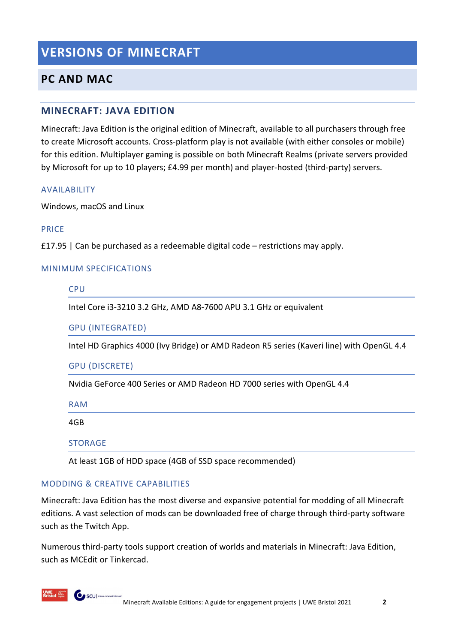# <span id="page-3-0"></span>**VERSIONS OF MINECRAFT**

# <span id="page-3-1"></span>**PC AND MAC**

#### <span id="page-3-2"></span>**MINECRAFT: JAVA EDITION**

Minecraft: Java Edition is the original edition of Minecraft, available to all purchasers through free to create Microsoft accounts. Cross-platform play is not available (with either consoles or mobile) for this edition. Multiplayer gaming is possible on both Minecraft Realms (private servers provided by Microsoft for up to 10 players; £4.99 per month) and player-hosted (third-party) servers.

#### AVAILABILITY

Windows, macOS and Linux

#### PRICE

£17.95 | Can be purchased as a redeemable digital code – restrictions may apply.

#### MINIMUM SPECIFICATIONS

**CPU** 

Intel Core i3-3210 3.2 GHz, AMD A8-7600 APU 3.1 GHz or equivalent

GPU (INTEGRATED)

Intel HD Graphics 4000 (Ivy Bridge) or AMD Radeon R5 series (Kaveri line) with OpenGL 4.4

#### GPU (DISCRETE)

Nvidia GeForce 400 Series or AMD Radeon HD 7000 series with OpenGL 4.4

| <b>RAM</b>                                               |
|----------------------------------------------------------|
| 4GB                                                      |
| STORAGE                                                  |
| At least 1GB of HDD space (4GB of SSD space recommended) |

#### MODDING & CREATIVE CAPABILITIES

SCU | science communics

Minecraft: Java Edition has the most diverse and expansive potential for modding of all Minecraft editions. A vast selection of mods can be downloaded free of charge through third-party software such as the Twitch App.

Numerous third-party tools support creation of worlds and materials in Minecraft: Java Edition, such as MCEdit or Tinkercad.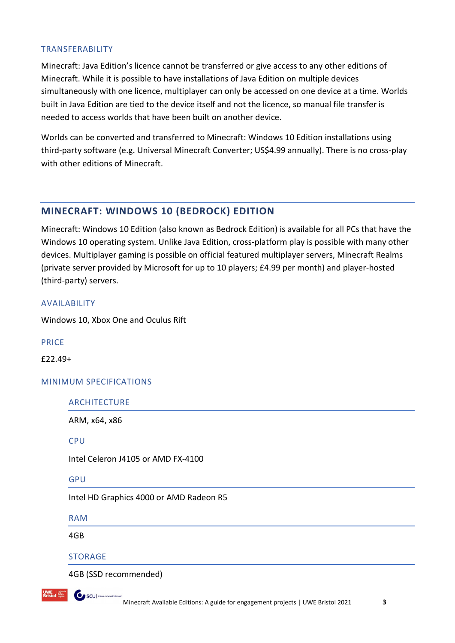#### TRANSFERABILITY

Minecraft: Java Edition's licence cannot be transferred or give access to any other editions of Minecraft. While it is possible to have installations of Java Edition on multiple devices simultaneously with one licence, multiplayer can only be accessed on one device at a time. Worlds built in Java Edition are tied to the device itself and not the licence, so manual file transfer is needed to access worlds that have been built on another device.

Worlds can be converted and transferred to Minecraft: Windows 10 Edition installations using third-party software (e.g. Universal Minecraft Converter; US\$4.99 annually). There is no cross-play with other editions of Minecraft.

#### <span id="page-4-0"></span>**MINECRAFT: WINDOWS 10 (BEDROCK) EDITION**

Minecraft: Windows 10 Edition (also known as Bedrock Edition) is available for all PCs that have the Windows 10 operating system. Unlike Java Edition, cross-platform play is possible with many other devices. Multiplayer gaming is possible on official featured multiplayer servers, Minecraft Realms (private server provided by Microsoft for up to 10 players; £4.99 per month) and player-hosted (third-party) servers.

#### AVAILABILITY

Windows 10, Xbox One and Oculus Rift

#### PRICE

£22.49+

#### MINIMUM SPECIFICATIONS

ARCHITECTURE

ARM, x64, x86

**CPU** 

Intel Celeron J4105 or AMD FX-4100

GPU

Intel HD Graphics 4000 or AMD Radeon R5

RAM

4GB

#### STORAGE

SCU | science communic

4GB (SSD recommended)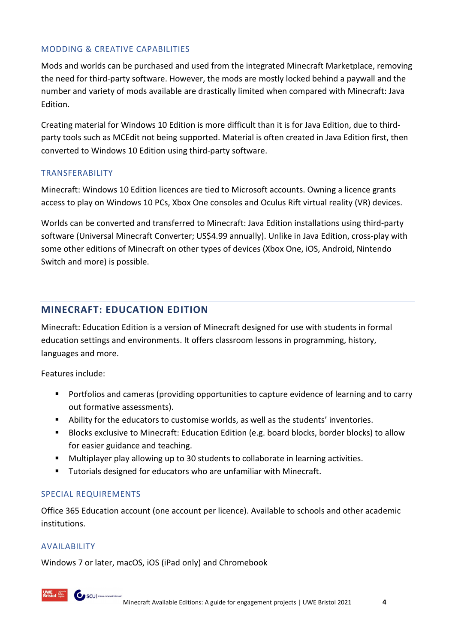#### MODDING & CREATIVE CAPABILITIES

Mods and worlds can be purchased and used from the integrated Minecraft Marketplace, removing the need for third-party software. However, the mods are mostly locked behind a paywall and the number and variety of mods available are drastically limited when compared with Minecraft: Java Edition.

Creating material for Windows 10 Edition is more difficult than it is for Java Edition, due to thirdparty tools such as MCEdit not being supported. Material is often created in Java Edition first, then converted to Windows 10 Edition using third-party software.

#### TRANSFERABILITY

Minecraft: Windows 10 Edition licences are tied to Microsoft accounts. Owning a licence grants access to play on Windows 10 PCs, Xbox One consoles and Oculus Rift virtual reality (VR) devices.

Worlds can be converted and transferred to Minecraft: Java Edition installations using third-party software (Universal Minecraft Converter; US\$4.99 annually). Unlike in Java Edition, cross-play with some other editions of Minecraft on other types of devices (Xbox One, iOS, Android, Nintendo Switch and more) is possible.

#### <span id="page-5-0"></span>**MINECRAFT: EDUCATION EDITION**

Minecraft: Education Edition is a version of Minecraft designed for use with students in formal education settings and environments. It offers classroom lessons in programming, history, languages and more.

Features include:

- Portfolios and cameras (providing opportunities to capture evidence of learning and to carry out formative assessments).
- Ability for the educators to customise worlds, as well as the students' inventories.
- **Blocks exclusive to Minecraft: Education Edition (e.g. board blocks, border blocks) to allow** for easier guidance and teaching.
- Multiplayer play allowing up to 30 students to collaborate in learning activities.
- **Tutorials designed for educators who are unfamiliar with Minecraft.**

#### SPECIAL REQUIREMENTS

SCU | science communic

Office 365 Education account (one account per licence). Available to schools and other academic institutions.

#### AVAILABILITY

Windows 7 or later, macOS, iOS (iPad only) and Chromebook

Minecraft Available Editions: A guide for engagement projects | UWE Bristol 2021 **4**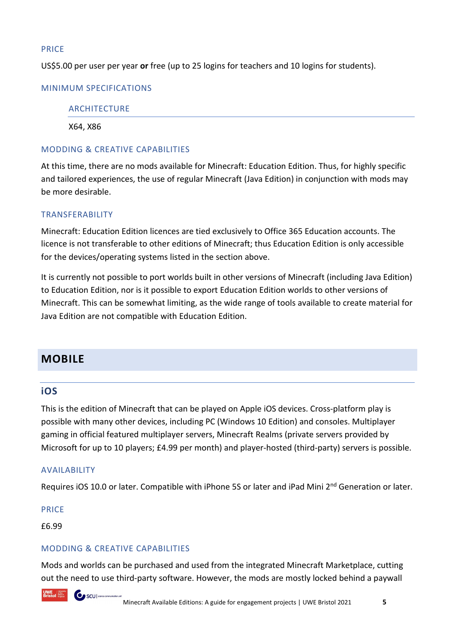#### PRICE

US\$5.00 per user per year **or** free (up to 25 logins for teachers and 10 logins for students).

#### MINIMUM SPECIFICATIONS

#### ARCHITECTURE

X64, X86

#### MODDING & CREATIVE CAPABILITIES

At this time, there are no mods available for Minecraft: Education Edition. Thus, for highly specific and tailored experiences, the use of regular Minecraft (Java Edition) in conjunction with mods may be more desirable.

#### TRANSFERABILITY

Minecraft: Education Edition licences are tied exclusively to Office 365 Education accounts. The licence is not transferable to other editions of Minecraft; thus Education Edition is only accessible for the devices/operating systems listed in the section above.

It is currently not possible to port worlds built in other versions of Minecraft (including Java Edition) to Education Edition, nor is it possible to export Education Edition worlds to other versions of Minecraft. This can be somewhat limiting, as the wide range of tools available to create material for Java Edition are not compatible with Education Edition.

# <span id="page-6-0"></span>**MOBILE**

#### <span id="page-6-1"></span>**iOS**

This is the edition of Minecraft that can be played on Apple iOS devices. Cross-platform play is possible with many other devices, including PC (Windows 10 Edition) and consoles. Multiplayer gaming in official featured multiplayer servers, Minecraft Realms (private servers provided by Microsoft for up to 10 players; £4.99 per month) and player-hosted (third-party) servers is possible.

#### AVAILABILITY

Requires iOS 10.0 or later. Compatible with iPhone 5S or later and iPad Mini 2<sup>nd</sup> Generation or later.

PRICE

£6.99

#### MODDING & CREATIVE CAPABILITIES

Mods and worlds can be purchased and used from the integrated Minecraft Marketplace, cutting out the need to use third-party software. However, the mods are mostly locked behind a paywall

**O** SCU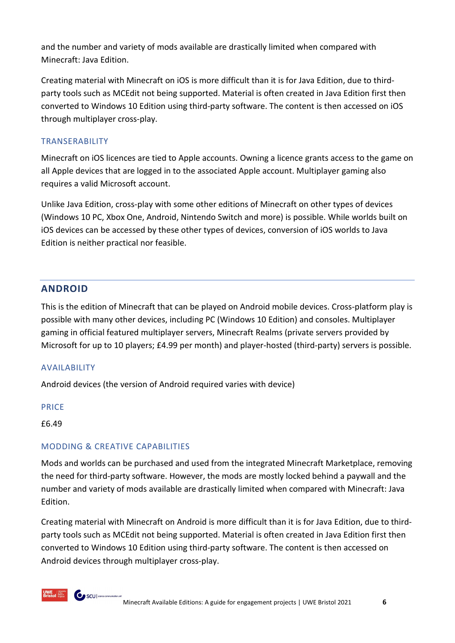and the number and variety of mods available are drastically limited when compared with Minecraft: Java Edition.

Creating material with Minecraft on iOS is more difficult than it is for Java Edition, due to thirdparty tools such as MCEdit not being supported. Material is often created in Java Edition first then converted to Windows 10 Edition using third-party software. The content is then accessed on iOS through multiplayer cross-play.

#### TRANSERABILITY

Minecraft on iOS licences are tied to Apple accounts. Owning a licence grants access to the game on all Apple devices that are logged in to the associated Apple account. Multiplayer gaming also requires a valid Microsoft account.

Unlike Java Edition, cross-play with some other editions of Minecraft on other types of devices (Windows 10 PC, Xbox One, Android, Nintendo Switch and more) is possible. While worlds built on iOS devices can be accessed by these other types of devices, conversion of iOS worlds to Java Edition is neither practical nor feasible.

## <span id="page-7-0"></span>**ANDROID**

This is the edition of Minecraft that can be played on Android mobile devices. Cross-platform play is possible with many other devices, including PC (Windows 10 Edition) and consoles. Multiplayer gaming in official featured multiplayer servers, Minecraft Realms (private servers provided by Microsoft for up to 10 players; £4.99 per month) and player-hosted (third-party) servers is possible.

#### AVAILABILITY

Android devices (the version of Android required varies with device)

#### PRICE

£6.49

#### MODDING & CREATIVE CAPABILITIES

SCU | science communico

Mods and worlds can be purchased and used from the integrated Minecraft Marketplace, removing the need for third-party software. However, the mods are mostly locked behind a paywall and the number and variety of mods available are drastically limited when compared with Minecraft: Java Edition.

Creating material with Minecraft on Android is more difficult than it is for Java Edition, due to thirdparty tools such as MCEdit not being supported. Material is often created in Java Edition first then converted to Windows 10 Edition using third-party software. The content is then accessed on Android devices through multiplayer cross-play.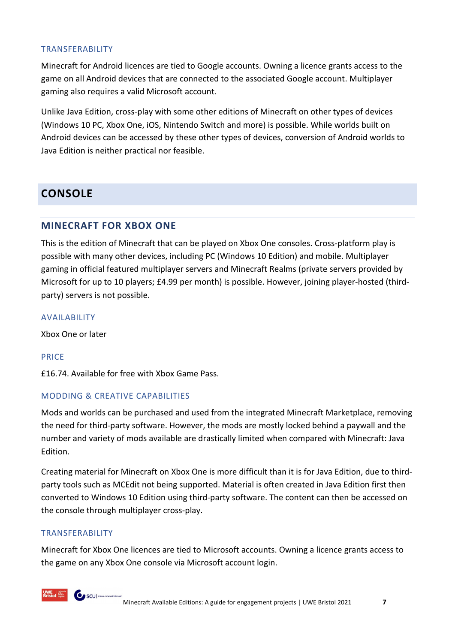#### TRANSFERABILITY

Minecraft for Android licences are tied to Google accounts. Owning a licence grants access to the game on all Android devices that are connected to the associated Google account. Multiplayer gaming also requires a valid Microsoft account.

Unlike Java Edition, cross-play with some other editions of Minecraft on other types of devices (Windows 10 PC, Xbox One, iOS, Nintendo Switch and more) is possible. While worlds built on Android devices can be accessed by these other types of devices, conversion of Android worlds to Java Edition is neither practical nor feasible.

# <span id="page-8-0"></span>**CONSOLE**

#### <span id="page-8-1"></span>**MINECRAFT FOR XBOX ONE**

This is the edition of Minecraft that can be played on Xbox One consoles. Cross-platform play is possible with many other devices, including PC (Windows 10 Edition) and mobile. Multiplayer gaming in official featured multiplayer servers and Minecraft Realms (private servers provided by Microsoft for up to 10 players; £4.99 per month) is possible. However, joining player-hosted (thirdparty) servers is not possible.

#### AVAILABILITY

Xbox One or later

#### PRICE

£16.74. Available for free with Xbox Game Pass.

#### MODDING & CREATIVE CAPABILITIES

Mods and worlds can be purchased and used from the integrated Minecraft Marketplace, removing the need for third-party software. However, the mods are mostly locked behind a paywall and the number and variety of mods available are drastically limited when compared with Minecraft: Java Edition.

Creating material for Minecraft on Xbox One is more difficult than it is for Java Edition, due to thirdparty tools such as MCEdit not being supported. Material is often created in Java Edition first then converted to Windows 10 Edition using third-party software. The content can then be accessed on the console through multiplayer cross-play.

#### TRANSFERABILITY

SCU | science communic

Minecraft for Xbox One licences are tied to Microsoft accounts. Owning a licence grants access to the game on any Xbox One console via Microsoft account login.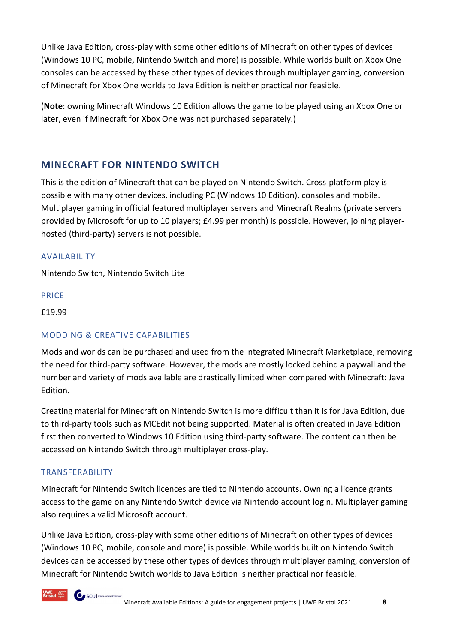Unlike Java Edition, cross-play with some other editions of Minecraft on other types of devices (Windows 10 PC, mobile, Nintendo Switch and more) is possible. While worlds built on Xbox One consoles can be accessed by these other types of devices through multiplayer gaming, conversion of Minecraft for Xbox One worlds to Java Edition is neither practical nor feasible.

(**Note**: owning Minecraft Windows 10 Edition allows the game to be played using an Xbox One or later, even if Minecraft for Xbox One was not purchased separately.)

#### <span id="page-9-0"></span>**MINECRAFT FOR NINTENDO SWITCH**

This is the edition of Minecraft that can be played on Nintendo Switch. Cross-platform play is possible with many other devices, including PC (Windows 10 Edition), consoles and mobile. Multiplayer gaming in official featured multiplayer servers and Minecraft Realms (private servers provided by Microsoft for up to 10 players; £4.99 per month) is possible. However, joining playerhosted (third-party) servers is not possible.

#### AVAILABILITY

Nintendo Switch, Nintendo Switch Lite

#### PRICE

£19.99

#### MODDING & CREATIVE CAPABILITIES

Mods and worlds can be purchased and used from the integrated Minecraft Marketplace, removing the need for third-party software. However, the mods are mostly locked behind a paywall and the number and variety of mods available are drastically limited when compared with Minecraft: Java Edition.

Creating material for Minecraft on Nintendo Switch is more difficult than it is for Java Edition, due to third-party tools such as MCEdit not being supported. Material is often created in Java Edition first then converted to Windows 10 Edition using third-party software. The content can then be accessed on Nintendo Switch through multiplayer cross-play.

#### TRANSFERABILITY

SCU | stance communice

Minecraft for Nintendo Switch licences are tied to Nintendo accounts. Owning a licence grants access to the game on any Nintendo Switch device via Nintendo account login. Multiplayer gaming also requires a valid Microsoft account.

Unlike Java Edition, cross-play with some other editions of Minecraft on other types of devices (Windows 10 PC, mobile, console and more) is possible. While worlds built on Nintendo Switch devices can be accessed by these other types of devices through multiplayer gaming, conversion of Minecraft for Nintendo Switch worlds to Java Edition is neither practical nor feasible.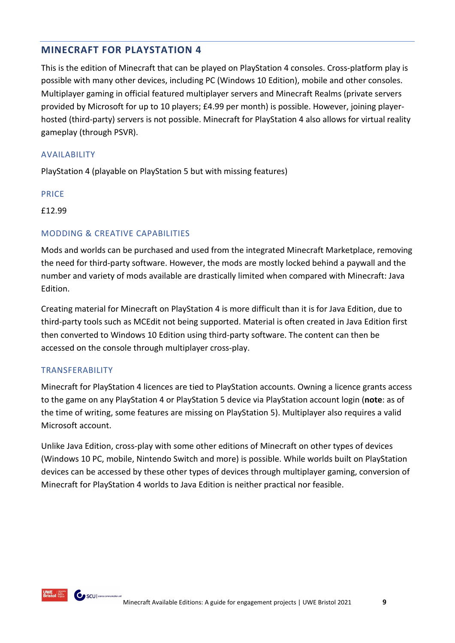## <span id="page-10-0"></span>**MINECRAFT FOR PLAYSTATION 4**

This is the edition of Minecraft that can be played on PlayStation 4 consoles. Cross-platform play is possible with many other devices, including PC (Windows 10 Edition), mobile and other consoles. Multiplayer gaming in official featured multiplayer servers and Minecraft Realms (private servers provided by Microsoft for up to 10 players; £4.99 per month) is possible. However, joining playerhosted (third-party) servers is not possible. Minecraft for PlayStation 4 also allows for virtual reality gameplay (through PSVR).

#### AVAILABILITY

PlayStation 4 (playable on PlayStation 5 but with missing features)

#### PRICE

£12.99

#### MODDING & CREATIVE CAPABILITIES

Mods and worlds can be purchased and used from the integrated Minecraft Marketplace, removing the need for third-party software. However, the mods are mostly locked behind a paywall and the number and variety of mods available are drastically limited when compared with Minecraft: Java Edition.

Creating material for Minecraft on PlayStation 4 is more difficult than it is for Java Edition, due to third-party tools such as MCEdit not being supported. Material is often created in Java Edition first then converted to Windows 10 Edition using third-party software. The content can then be accessed on the console through multiplayer cross-play.

#### TRANSFERABILITY

Minecraft for PlayStation 4 licences are tied to PlayStation accounts. Owning a licence grants access to the game on any PlayStation 4 or PlayStation 5 device via PlayStation account login (**note**: as of the time of writing, some features are missing on PlayStation 5). Multiplayer also requires a valid Microsoft account.

Unlike Java Edition, cross-play with some other editions of Minecraft on other types of devices (Windows 10 PC, mobile, Nintendo Switch and more) is possible. While worlds built on PlayStation devices can be accessed by these other types of devices through multiplayer gaming, conversion of Minecraft for PlayStation 4 worlds to Java Edition is neither practical nor feasible.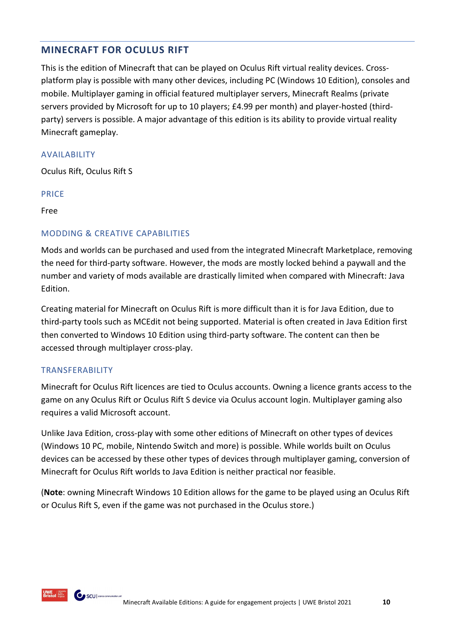# <span id="page-11-0"></span>**MINECRAFT FOR OCULUS RIFT**

This is the edition of Minecraft that can be played on Oculus Rift virtual reality devices. Crossplatform play is possible with many other devices, including PC (Windows 10 Edition), consoles and mobile. Multiplayer gaming in official featured multiplayer servers, Minecraft Realms (private servers provided by Microsoft for up to 10 players; £4.99 per month) and player-hosted (thirdparty) servers is possible. A major advantage of this edition is its ability to provide virtual reality Minecraft gameplay.

#### AVAILABILITY

Oculus Rift, Oculus Rift S

#### PRICE

Free

#### MODDING & CREATIVE CAPABILITIES

Mods and worlds can be purchased and used from the integrated Minecraft Marketplace, removing the need for third-party software. However, the mods are mostly locked behind a paywall and the number and variety of mods available are drastically limited when compared with Minecraft: Java Edition.

Creating material for Minecraft on Oculus Rift is more difficult than it is for Java Edition, due to third-party tools such as MCEdit not being supported. Material is often created in Java Edition first then converted to Windows 10 Edition using third-party software. The content can then be accessed through multiplayer cross-play.

#### TRANSFERABILITY

Minecraft for Oculus Rift licences are tied to Oculus accounts. Owning a licence grants access to the game on any Oculus Rift or Oculus Rift S device via Oculus account login. Multiplayer gaming also requires a valid Microsoft account.

Unlike Java Edition, cross-play with some other editions of Minecraft on other types of devices (Windows 10 PC, mobile, Nintendo Switch and more) is possible. While worlds built on Oculus devices can be accessed by these other types of devices through multiplayer gaming, conversion of Minecraft for Oculus Rift worlds to Java Edition is neither practical nor feasible.

(**Note**: owning Minecraft Windows 10 Edition allows for the game to be played using an Oculus Rift or Oculus Rift S, even if the game was not purchased in the Oculus store.)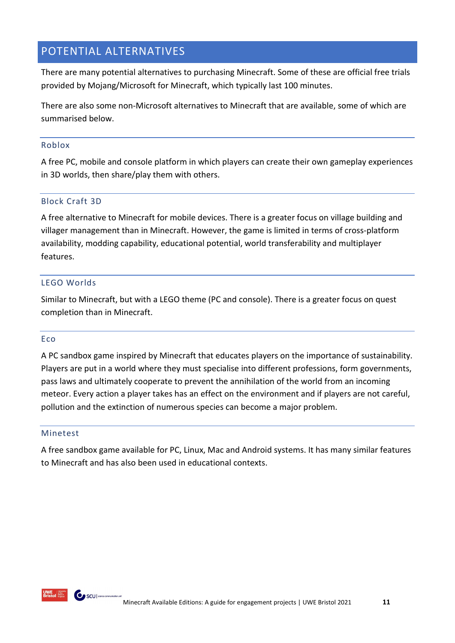# <span id="page-12-0"></span>POTENTIAL ALTERNATIVES

There are many potential alternatives to purchasing Minecraft. Some of these are official free trials provided by Mojang/Microsoft for Minecraft, which typically last 100 minutes.

There are also some non-Microsoft alternatives to Minecraft that are available, some of which are summarised below.

#### <span id="page-12-1"></span>Roblox

A free PC, mobile and console platform in which players can create their own gameplay experiences in 3D worlds, then share/play them with others.

#### <span id="page-12-2"></span>Block Craft 3D

A free alternative to Minecraft for mobile devices. There is a greater focus on village building and villager management than in Minecraft. However, the game is limited in terms of cross-platform availability, modding capability, educational potential, world transferability and multiplayer features.

#### <span id="page-12-3"></span>LEGO Worlds

Similar to Minecraft, but with a LEGO theme (PC and console). There is a greater focus on quest completion than in Minecraft.

#### <span id="page-12-4"></span>Eco

A PC sandbox game inspired by Minecraft that educates players on the importance of sustainability. Players are put in a world where they must specialise into different professions, form governments, pass laws and ultimately cooperate to prevent the annihilation of the world from an incoming meteor. Every action a player takes has an effect on the environment and if players are not careful, pollution and the extinction of numerous species can become a major problem.

#### <span id="page-12-5"></span>Minetest

A free sandbox game available for PC, Linux, Mac and Android systems. It has many similar features to Minecraft and has also been used in educational contexts.